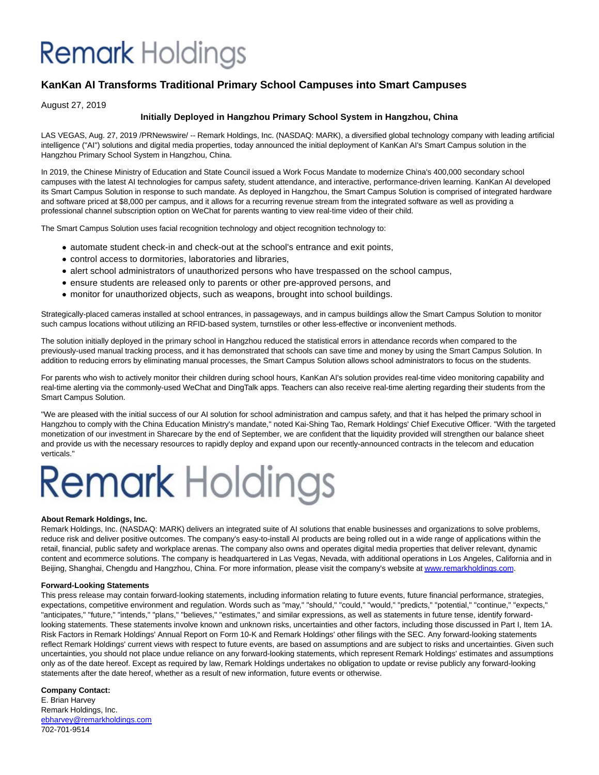## **Remark** Holdings

### **KanKan AI Transforms Traditional Primary School Campuses into Smart Campuses**

### August 27, 2019

### **Initially Deployed in Hangzhou Primary School System in Hangzhou, China**

LAS VEGAS, Aug. 27, 2019 /PRNewswire/ -- Remark Holdings, Inc. (NASDAQ: MARK), a diversified global technology company with leading artificial intelligence ("AI") solutions and digital media properties, today announced the initial deployment of KanKan AI's Smart Campus solution in the Hangzhou Primary School System in Hangzhou, China.

In 2019, the Chinese Ministry of Education and State Council issued a Work Focus Mandate to modernize China's 400,000 secondary school campuses with the latest AI technologies for campus safety, student attendance, and interactive, performance-driven learning. KanKan AI developed its Smart Campus Solution in response to such mandate. As deployed in Hangzhou, the Smart Campus Solution is comprised of integrated hardware and software priced at \$8,000 per campus, and it allows for a recurring revenue stream from the integrated software as well as providing a professional channel subscription option on WeChat for parents wanting to view real-time video of their child.

The Smart Campus Solution uses facial recognition technology and object recognition technology to:

- automate student check-in and check-out at the school's entrance and exit points,
- control access to dormitories, laboratories and libraries,
- alert school administrators of unauthorized persons who have trespassed on the school campus,
- ensure students are released only to parents or other pre-approved persons, and
- monitor for unauthorized objects, such as weapons, brought into school buildings.

Strategically-placed cameras installed at school entrances, in passageways, and in campus buildings allow the Smart Campus Solution to monitor such campus locations without utilizing an RFID-based system, turnstiles or other less-effective or inconvenient methods.

The solution initially deployed in the primary school in Hangzhou reduced the statistical errors in attendance records when compared to the previously-used manual tracking process, and it has demonstrated that schools can save time and money by using the Smart Campus Solution. In addition to reducing errors by eliminating manual processes, the Smart Campus Solution allows school administrators to focus on the students.

For parents who wish to actively monitor their children during school hours, KanKan AI's solution provides real-time video monitoring capability and real-time alerting via the commonly-used WeChat and DingTalk apps. Teachers can also receive real-time alerting regarding their students from the Smart Campus Solution.

"We are pleased with the initial success of our AI solution for school administration and campus safety, and that it has helped the primary school in Hangzhou to comply with the China Education Ministry's mandate," noted Kai-Shing Tao, Remark Holdings' Chief Executive Officer. "With the targeted monetization of our investment in Sharecare by the end of September, we are confident that the liquidity provided will strengthen our balance sheet and provide us with the necessary resources to rapidly deploy and expand upon our recently-announced contracts in the telecom and education verticals."

# **Remark Holdings**

### **About Remark Holdings, Inc.**

Remark Holdings, Inc. (NASDAQ: MARK) delivers an integrated suite of AI solutions that enable businesses and organizations to solve problems, reduce risk and deliver positive outcomes. The company's easy-to-install AI products are being rolled out in a wide range of applications within the retail, financial, public safety and workplace arenas. The company also owns and operates digital media properties that deliver relevant, dynamic content and ecommerce solutions. The company is headquartered in Las Vegas, Nevada, with additional operations in Los Angeles, California and in Beijing, Shanghai, Chengdu and Hangzhou, China. For more information, please visit the company's website a[t www.remarkholdings.com.](http://www.remarkholdings.com/)

### **Forward-Looking Statements**

This press release may contain forward-looking statements, including information relating to future events, future financial performance, strategies, expectations, competitive environment and regulation. Words such as "may," "should," "could," "would," "predicts," "potential," "continue," "expects," "anticipates," "future," "intends," "plans," "believes," "estimates," and similar expressions, as well as statements in future tense, identify forwardlooking statements. These statements involve known and unknown risks, uncertainties and other factors, including those discussed in Part I, Item 1A. Risk Factors in Remark Holdings' Annual Report on Form 10-K and Remark Holdings' other filings with the SEC. Any forward-looking statements reflect Remark Holdings' current views with respect to future events, are based on assumptions and are subject to risks and uncertainties. Given such uncertainties, you should not place undue reliance on any forward-looking statements, which represent Remark Holdings' estimates and assumptions only as of the date hereof. Except as required by law, Remark Holdings undertakes no obligation to update or revise publicly any forward-looking statements after the date hereof, whether as a result of new information, future events or otherwise.

### **Company Contact:**

E. Brian Harvey Remark Holdings, Inc. [ebharvey@remarkholdings.com](mailto:ebharvey@remarkholdings.com) 702-701-9514